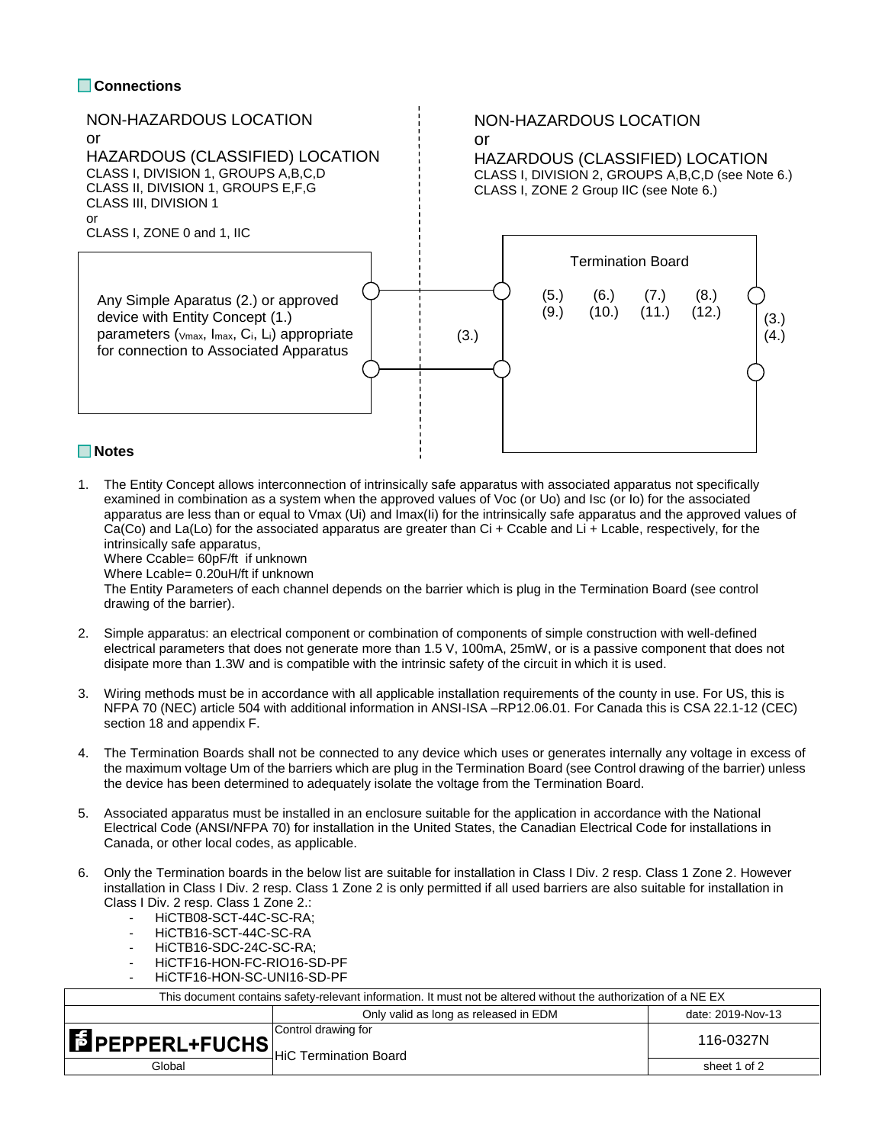## **Connections**



1. The Entity Concept allows interconnection of intrinsically safe apparatus with associated apparatus not specifically examined in combination as a system when the approved values of Voc (or Uo) and Isc (or Io) for the associated apparatus are less than or equal to Vmax (Ui) and Imax(Ii) for the intrinsically safe apparatus and the approved values of Ca(Co) and La(Lo) for the associated apparatus are greater than Ci + Ccable and Li + Lcable, respectively, for the intrinsically safe apparatus,

Where Ccable= 60pF/ft if unknown

Where Lcable= 0.20uH/ft if unknown

The Entity Parameters of each channel depends on the barrier which is plug in the Termination Board (see control drawing of the barrier).

- 2. Simple apparatus: an electrical component or combination of components of simple construction with well-defined electrical parameters that does not generate more than 1.5 V, 100mA, 25mW, or is a passive component that does not disipate more than 1.3W and is compatible with the intrinsic safety of the circuit in which it is used.
- 3. Wiring methods must be in accordance with all applicable installation requirements of the county in use. For US, this is NFPA 70 (NEC) article 504 with additional information in ANSI-ISA –RP12.06.01. For Canada this is CSA 22.1-12 (CEC) section 18 and appendix F.
- 4. The Termination Boards shall not be connected to any device which uses or generates internally any voltage in excess of the maximum voltage Um of the barriers which are plug in the Termination Board (see Control drawing of the barrier) unless the device has been determined to adequately isolate the voltage from the Termination Board.
- 5. Associated apparatus must be installed in an enclosure suitable for the application in accordance with the National Electrical Code (ANSI/NFPA 70) for installation in the United States, the Canadian Electrical Code for installations in Canada, or other local codes, as applicable.
- 6. Only the Termination boards in the below list are suitable for installation in Class I Div. 2 resp. Class 1 Zone 2. However installation in Class I Div. 2 resp. Class 1 Zone 2 is only permitted if all used barriers are also suitable for installation in Class I Div. 2 resp. Class 1 Zone 2.:
	- HiCTB08-SCT-44C-SC-RA;
	- HiCTB16-SCT-44C-SC-RA
	- HiCTB16-SDC-24C-SC-RA;
	- HiCTF16-HON-FC-RIO16-SD-PF
	- HiCTF16-HON-SC-UNI16-SD-PF

| This document contains safety-relevant information. It must not be altered without the authorization of a NE EX |                                       |                   |  |  |
|-----------------------------------------------------------------------------------------------------------------|---------------------------------------|-------------------|--|--|
|                                                                                                                 | Only valid as long as released in EDM | date: 2019-Nov-13 |  |  |
| <b>FEPPERL+FUCHS</b><br>HiC Termination Board                                                                   | Control drawing for                   | 116-0327N         |  |  |
| Global                                                                                                          |                                       | sheet 1 of 2      |  |  |